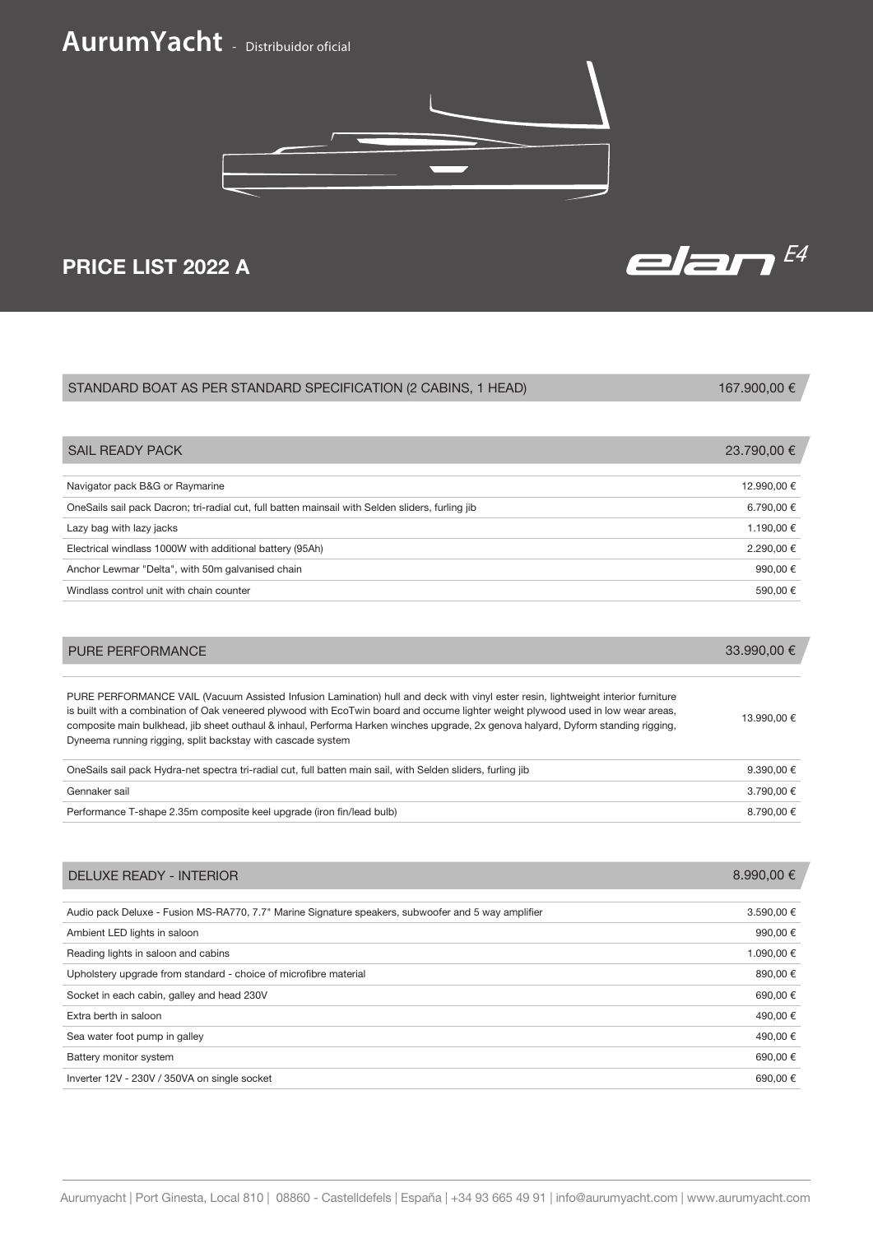# AurumYacht - Distribuidor oficial





| STANDARD BOAT AS PER STANDARD SPECIFICATION (2 CABINS, 1 HEAD)                                                                                                                                                                                                                                                                                                                                                                                                           | 167.900,00 € |
|--------------------------------------------------------------------------------------------------------------------------------------------------------------------------------------------------------------------------------------------------------------------------------------------------------------------------------------------------------------------------------------------------------------------------------------------------------------------------|--------------|
|                                                                                                                                                                                                                                                                                                                                                                                                                                                                          |              |
| <b>SAIL READY PACK</b>                                                                                                                                                                                                                                                                                                                                                                                                                                                   | 23.790,00 €  |
|                                                                                                                                                                                                                                                                                                                                                                                                                                                                          |              |
| Navigator pack B&G or Raymarine                                                                                                                                                                                                                                                                                                                                                                                                                                          | 12.990,00 €  |
| OneSails sail pack Dacron; tri-radial cut, full batten mainsail with Selden sliders, furling jib                                                                                                                                                                                                                                                                                                                                                                         | 6.790,00 €   |
| Lazy bag with lazy jacks                                                                                                                                                                                                                                                                                                                                                                                                                                                 | 1.190,00 €   |
| Electrical windlass 1000W with additional battery (95Ah)                                                                                                                                                                                                                                                                                                                                                                                                                 | 2.290,00 €   |
| Anchor Lewmar "Delta", with 50m galvanised chain                                                                                                                                                                                                                                                                                                                                                                                                                         | 990,00 €     |
| Windlass control unit with chain counter                                                                                                                                                                                                                                                                                                                                                                                                                                 | 590,00 €     |
|                                                                                                                                                                                                                                                                                                                                                                                                                                                                          |              |
| <b>PURE PERFORMANCE</b>                                                                                                                                                                                                                                                                                                                                                                                                                                                  | 33.990,00 €  |
| PURE PERFORMANCE VAIL (Vacuum Assisted Infusion Lamination) hull and deck with vinyl ester resin, lightweight interior furniture<br>is built with a combination of Oak veneered plywood with EcoTwin board and occume lighter weight plywood used in low wear areas,<br>composite main bulkhead, jib sheet outhaul & inhaul, Performa Harken winches upgrade, 2x genova halyard, Dyform standing rigging,<br>Dyneema running rigging, split backstay with cascade system | 13.990,00 €  |
| OneSails sail pack Hydra-net spectra tri-radial cut, full batten main sail, with Selden sliders, furling jib                                                                                                                                                                                                                                                                                                                                                             | 9.390,00 €   |
| Gennaker sail                                                                                                                                                                                                                                                                                                                                                                                                                                                            | 3.790,00 €   |
| Performance T-shape 2.35m composite keel upgrade (iron fin/lead bulb)                                                                                                                                                                                                                                                                                                                                                                                                    | 8.790,00 €   |

| <b>DELUXE READY - INTERIOR</b>                                                                     | 8.990,00 € |
|----------------------------------------------------------------------------------------------------|------------|
|                                                                                                    |            |
| Audio pack Deluxe - Fusion MS-RA770, 7.7" Marine Signature speakers, subwoofer and 5 way amplifier | 3.590,00 € |
| Ambient LED lights in saloon                                                                       | 990.00 €   |
| Reading lights in saloon and cabins                                                                | 1.090,00 € |
| Upholstery upgrade from standard - choice of microfibre material                                   | 890,00 €   |
| Socket in each cabin, galley and head 230V                                                         | 690,00€    |
| Extra berth in saloon                                                                              | 490.00 €   |
| Sea water foot pump in galley                                                                      | 490.00 €   |
| Battery monitor system                                                                             | 690,00 €   |
| Inverter 12V - 230V / 350VA on single socket                                                       | 690.00 €   |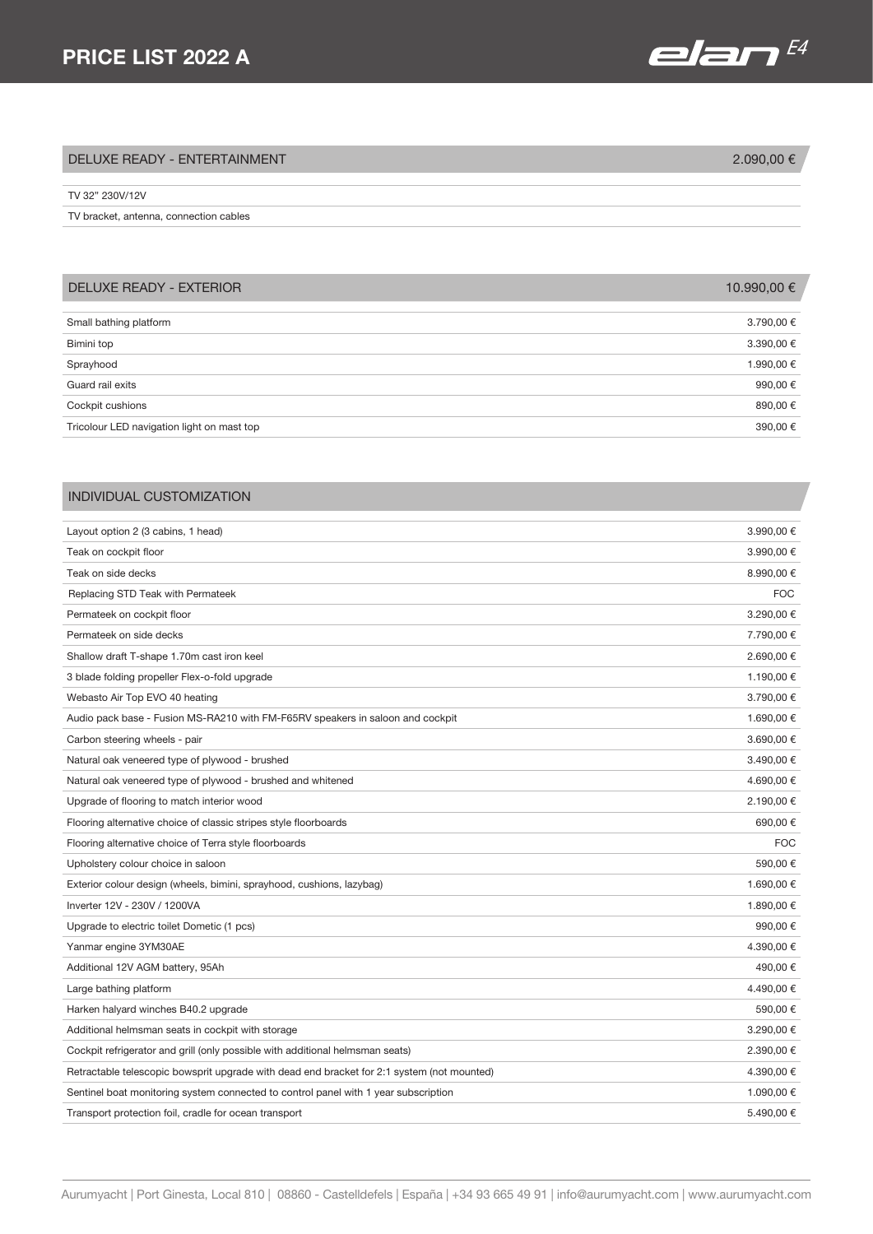# PRICE LIST 2022 A

|--|--|

| DELUXE READY - ENTERTAINMENT           | 2.090,00 € |
|----------------------------------------|------------|
| TV 32" 230V/12V                        |            |
| TV bracket, antenna, connection cables |            |

| <b>DELUXE READY - EXTERIOR</b>             | 10.990,00 € |
|--------------------------------------------|-------------|
| Small bathing platform                     | 3.790,00 €  |
|                                            |             |
| Bimini top                                 | 3.390,00 €  |
| Sprayhood                                  | 1.990,00 €  |
| Guard rail exits                           | 990,00 €    |
| Cockpit cushions                           | 890,00 €    |
| Tricolour LED navigation light on mast top | 390,00 €    |

## INDIVIDUAL CUSTOMIZATION

| Layout option 2 (3 cabins, 1 head)                                                         | 3.990,00 € |
|--------------------------------------------------------------------------------------------|------------|
| Teak on cockpit floor                                                                      | 3.990,00 € |
| Teak on side decks                                                                         | 8.990,00 € |
| Replacing STD Teak with Permateek                                                          | <b>FOC</b> |
| Permateek on cockpit floor                                                                 | 3.290,00 € |
| Permateek on side decks                                                                    | 7.790,00 € |
| Shallow draft T-shape 1.70m cast iron keel                                                 | 2.690,00 € |
| 3 blade folding propeller Flex-o-fold upgrade                                              | 1.190,00 € |
| Webasto Air Top EVO 40 heating                                                             | 3.790,00 € |
| Audio pack base - Fusion MS-RA210 with FM-F65RV speakers in saloon and cockpit             | 1.690,00 € |
| Carbon steering wheels - pair                                                              | 3.690,00 € |
| Natural oak veneered type of plywood - brushed                                             | 3.490,00 € |
| Natural oak veneered type of plywood - brushed and whitened                                | 4.690.00 € |
| Upgrade of flooring to match interior wood                                                 | 2.190,00 € |
| Flooring alternative choice of classic stripes style floorboards                           | 690,00€    |
| Flooring alternative choice of Terra style floorboards                                     | <b>FOC</b> |
| Upholstery colour choice in saloon                                                         | 590,00 €   |
| Exterior colour design (wheels, bimini, sprayhood, cushions, lazybag)                      | 1.690,00 € |
| Inverter 12V - 230V / 1200VA                                                               | 1.890,00 € |
| Upgrade to electric toilet Dometic (1 pcs)                                                 | 990.00€    |
| Yanmar engine 3YM30AE                                                                      | 4.390,00 € |
| Additional 12V AGM battery, 95Ah                                                           | 490.00 €   |
| Large bathing platform                                                                     | 4.490,00 € |
| Harken halyard winches B40.2 upgrade                                                       | 590,00€    |
| Additional helmsman seats in cockpit with storage                                          | 3.290,00 € |
| Cockpit refrigerator and grill (only possible with additional helmsman seats)              | 2.390,00 € |
| Retractable telescopic bowsprit upgrade with dead end bracket for 2:1 system (not mounted) | 4.390,00 € |
| Sentinel boat monitoring system connected to control panel with 1 year subscription        | 1.090,00 € |
| Transport protection foil, cradle for ocean transport                                      | 5.490,00 € |